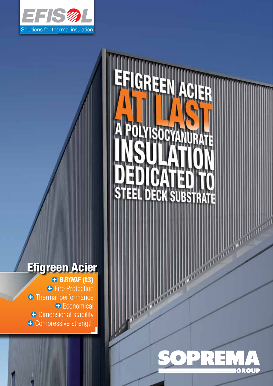

## EFIGREEN AGIER Snn EEL DECK SUBSTRATE

## B*roof* (t3) Efigreen Acier

**+** Fire Protection **+** Thermal performance **+** Economical **+** Dimensional stability **+** Compressive strength